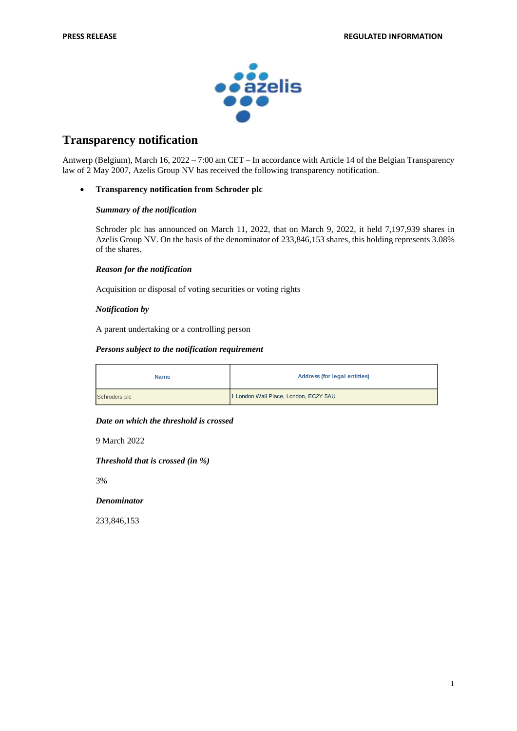

# **Transparency notification**

Antwerp (Belgium), March 16, 2022 – 7:00 am CET – In accordance with Article 14 of the Belgian Transparency law of 2 May 2007, Azelis Group NV has received the following transparency notification.

### • **Transparency notification from Schroder plc**

### *Summary of the notification*

Schroder plc has announced on March 11, 2022, that on March 9, 2022, it held 7,197,939 shares in Azelis Group NV. On the basis of the denominator of 233,846,153 shares, this holding represents 3.08% of the shares.

### *Reason for the notification*

Acquisition or disposal of voting securities or voting rights

### *Notification by*

A parent undertaking or a controlling person

### *Persons subject to the notification requirement*

| <b>Name</b>   | <b>Address (for legal entities)</b>   |
|---------------|---------------------------------------|
| Schroders plc | 1 London Wall Place, London, EC2Y 5AU |

### *Date on which the threshold is crossed*

9 March 2022

*Threshold that is crossed (in %)*

3%

### *Denominator*

233,846,153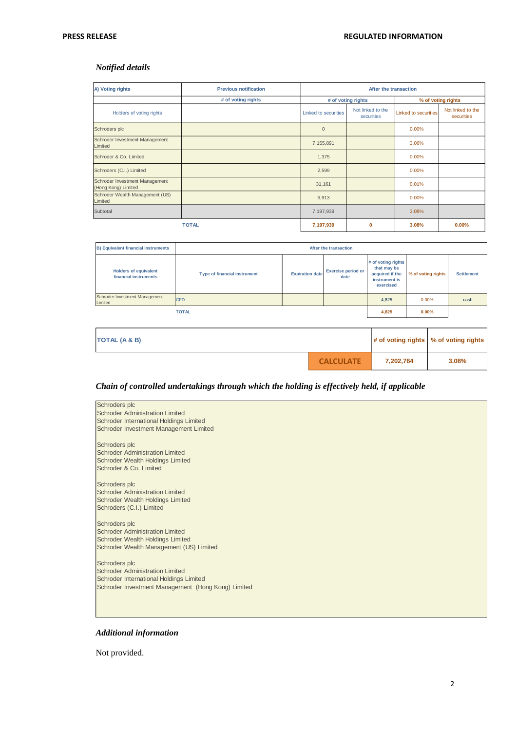# *Notified details*

| A) Voting rights                                      | <b>Previous notification</b> | After the transaction       |                                 |                      |                                 |
|-------------------------------------------------------|------------------------------|-----------------------------|---------------------------------|----------------------|---------------------------------|
|                                                       | # of voting rights           | # of voting rights          |                                 | % of voting rights   |                                 |
| Holders of voting rights                              |                              | <b>Linked to securities</b> | Not linked to the<br>securities | Linked to securities | Not linked to the<br>securities |
| Schroders plc                                         |                              | $\mathbf{0}$                |                                 | 0.00%                |                                 |
| Schroder Investment Management<br>Limited             |                              | 7,155,891                   |                                 | 3.06%                |                                 |
| Schroder & Co. Limited                                |                              | 1,375                       |                                 | 0.00%                |                                 |
| Schroders (C.I.) Limited                              |                              | 2,599                       |                                 | 0.00%                |                                 |
| Schroder Investment Management<br>(Hong Kong) Limited |                              | 31,161                      |                                 | 0.01%                |                                 |
| Schroder Wealth Management (US)<br>Limited            |                              | 6,913                       |                                 | 0.00%                |                                 |
| Subtotal                                              |                              | 7,197,939                   |                                 | 3.08%                |                                 |
|                                                       | <b>TOTAL</b>                 | 7,197,939                   | $\bf{0}$                        | 3.08%                | 0.00%                           |

| <b>B) Equivalent financial instruments</b>            | After the transaction               |                        |                                   |                                                                                    |                    |                   |
|-------------------------------------------------------|-------------------------------------|------------------------|-----------------------------------|------------------------------------------------------------------------------------|--------------------|-------------------|
| <b>Holders of equivalent</b><br>financial instruments | <b>Type of financial instrument</b> | <b>Expiration date</b> | <b>Exercise period or</b><br>date | # of voting rights<br>that may be<br>acquired if the<br>instrument is<br>exercised | % of voting rights | <b>Settlement</b> |
| Schroder Investment Management<br>Limited             | <b>CFD</b>                          |                        |                                   | 4.825                                                                              | 0.00%              | cash              |
|                                                       | <b>TOTAL</b>                        |                        |                                   | 4.825                                                                              | 0.00%              |                   |

| TOTAL (A & B) |                  |           | # of voting rights   % of voting rights |  |
|---------------|------------------|-----------|-----------------------------------------|--|
|               | <b>CALCULATE</b> | 7,202,764 | 3.08%                                   |  |

# *Chain of controlled undertakings through which the holding is effectively held, if applicable*

| Schroders plc                                                                                                                |
|------------------------------------------------------------------------------------------------------------------------------|
| <b>Schroder Administration Limited</b><br>Schroder International Holdings Limited                                            |
| Schroder Investment Management Limited                                                                                       |
| Schroders plc<br><b>Schroder Administration Limited</b><br><b>Schroder Wealth Holdings Limited</b><br>Schroder & Co. Limited |
| Schroders plc<br>Schroder Administration Limited<br><b>Schroder Wealth Holdings Limited</b><br>Schroders (C.I.) Limited      |
| Schroders plc                                                                                                                |
| <b>Schroder Administration Limited</b>                                                                                       |
| <b>Schroder Wealth Holdings Limited</b><br>Schroder Wealth Management (US) Limited                                           |
|                                                                                                                              |
| Schroders plc                                                                                                                |
| <b>Schroder Administration Limited</b><br>Schroder International Holdings Limited                                            |
| Schroder Investment Management (Hong Kong) Limited                                                                           |
|                                                                                                                              |
|                                                                                                                              |
|                                                                                                                              |

# *Additional information*

Not provided.